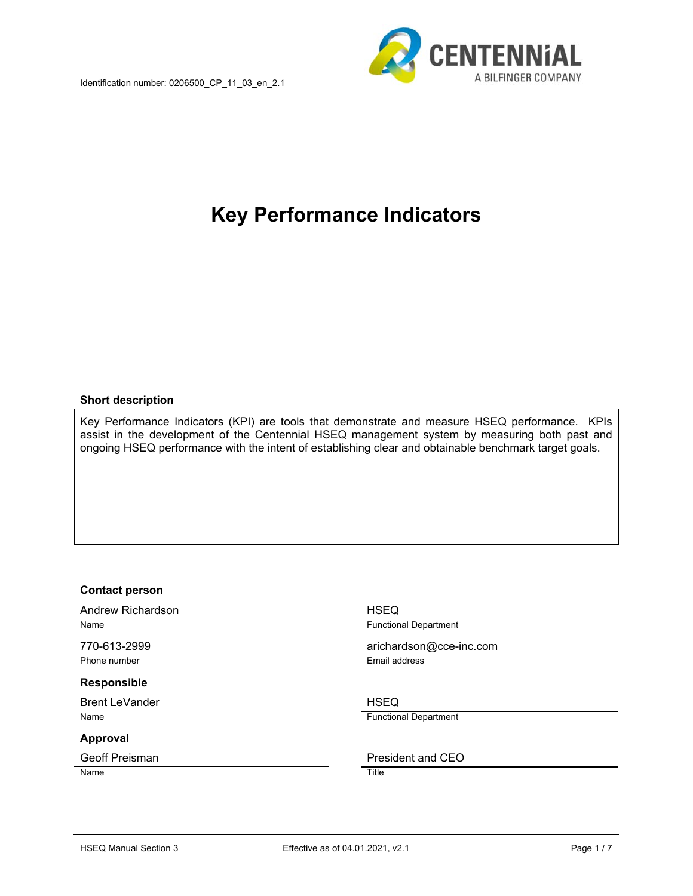

# **Key Performance Indicators**

#### **Short description**

Key Performance Indicators (KPI) are tools that demonstrate and measure HSEQ performance. KPIs assist in the development of the Centennial HSEQ management system by measuring both past and ongoing HSEQ performance with the intent of establishing clear and obtainable benchmark target goals.

#### **Contact person**

Andrew Richardson **HSEQ** 

Phone number **Email address** 

#### **Responsible**

Brent LeVander North Communication and HSEQ

#### **Approval**

Name Title

Name **Name Functional Department** 

770-613-2999 arichardson@cce-inc.com

Name **Functional Department** 

Geoff Preisman **President and CEO**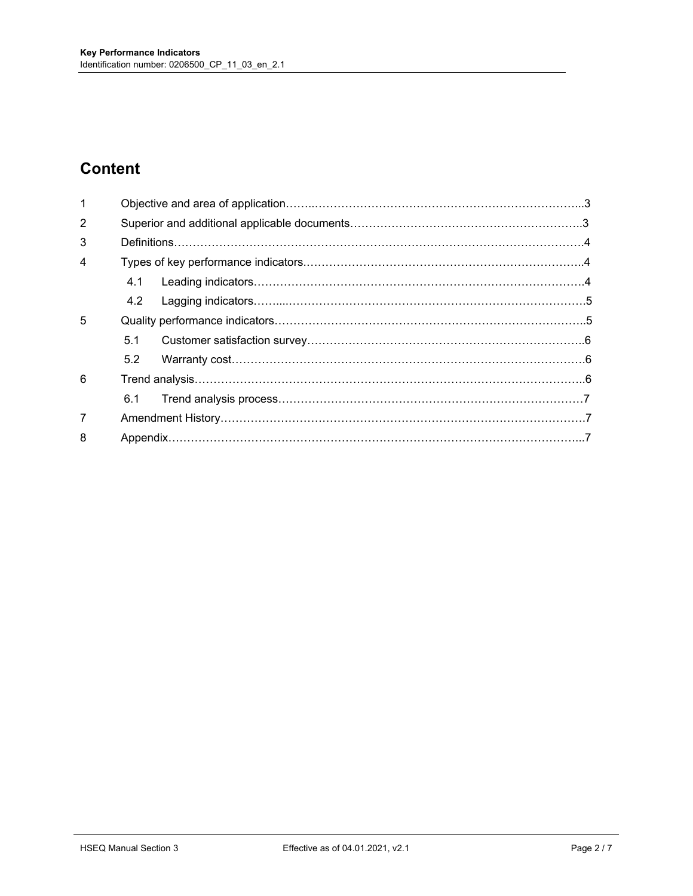# **Content**

| $\mathbf{1}$   |     |  |  |
|----------------|-----|--|--|
| $\overline{2}$ |     |  |  |
| 3              |     |  |  |
| 4              |     |  |  |
|                | 4.1 |  |  |
|                | 4.2 |  |  |
| 5              |     |  |  |
|                | 5.1 |  |  |
|                | 5.2 |  |  |
| 6              |     |  |  |
|                | 6.1 |  |  |
| $\overline{7}$ |     |  |  |
| 8              |     |  |  |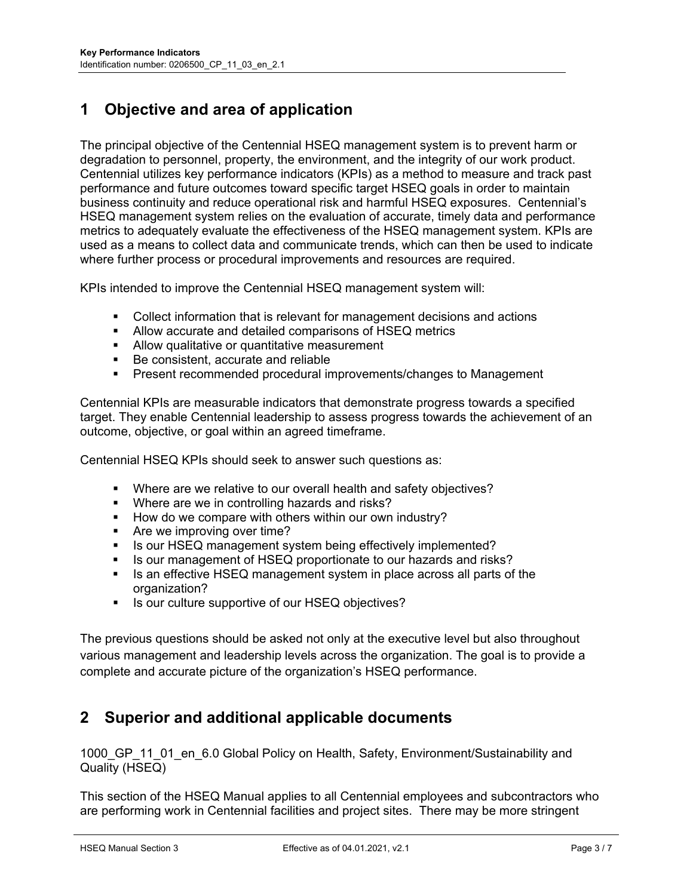# **1 Objective and area of application**

The principal objective of the Centennial HSEQ management system is to prevent harm or degradation to personnel, property, the environment, and the integrity of our work product. Centennial utilizes key performance indicators (KPIs) as a method to measure and track past performance and future outcomes toward specific target HSEQ goals in order to maintain business continuity and reduce operational risk and harmful HSEQ exposures. Centennial's HSEQ management system relies on the evaluation of accurate, timely data and performance metrics to adequately evaluate the effectiveness of the HSEQ management system. KPIs are used as a means to collect data and communicate trends, which can then be used to indicate where further process or procedural improvements and resources are required.

KPIs intended to improve the Centennial HSEQ management system will:

- Collect information that is relevant for management decisions and actions
- Allow accurate and detailed comparisons of HSEQ metrics
- **Allow qualitative or quantitative measurement**
- Be consistent, accurate and reliable
- **Present recommended procedural improvements/changes to Management**

Centennial KPIs are measurable indicators that demonstrate progress towards a specified target. They enable Centennial leadership to assess progress towards the achievement of an outcome, objective, or goal within an agreed timeframe.

Centennial HSEQ KPIs should seek to answer such questions as:

- Where are we relative to our overall health and safety objectives?
- **Where are we in controlling hazards and risks?**
- How do we compare with others within our own industry?
- **Are we improving over time?**
- I Is our HSEQ management system being effectively implemented?
- Is our management of HSEQ proportionate to our hazards and risks?
- Is an effective HSEQ management system in place across all parts of the organization?
- **IF Is our culture supportive of our HSEQ objectives?**

The previous questions should be asked not only at the executive level but also throughout various management and leadership levels across the organization. The goal is to provide a complete and accurate picture of the organization's HSEQ performance.

# **2 Superior and additional applicable documents**

1000 GP 11 01 en 6.0 Global Policy on Health, Safety, Environment/Sustainability and Quality (HSEQ)

This section of the HSEQ Manual applies to all Centennial employees and subcontractors who are performing work in Centennial facilities and project sites. There may be more stringent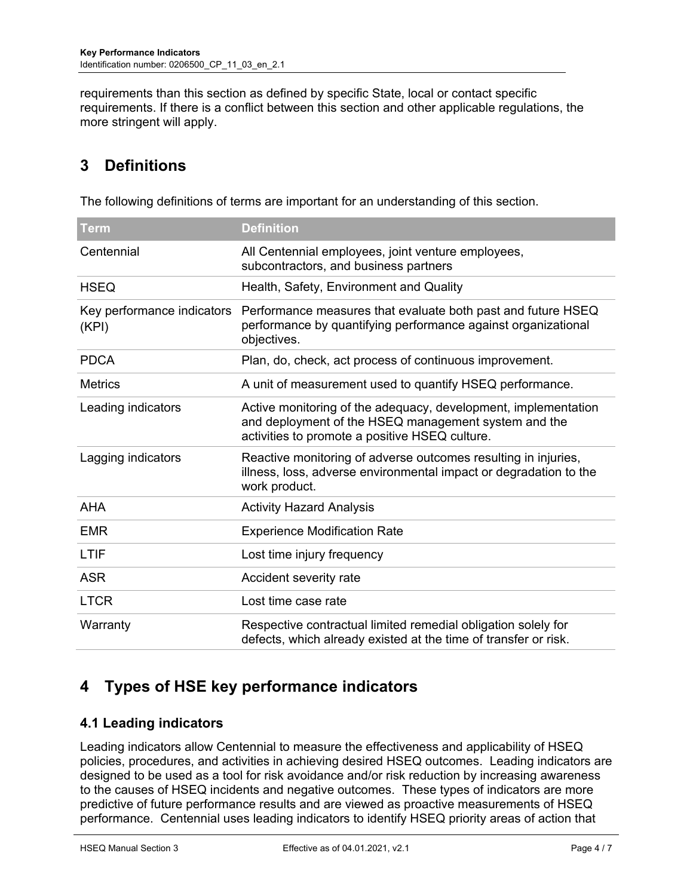requirements than this section as defined by specific State, local or contact specific requirements. If there is a conflict between this section and other applicable regulations, the more stringent will apply.

# **3 Definitions**

| The following definitions of terms are important for an understanding of this section. |  |  |
|----------------------------------------------------------------------------------------|--|--|
|                                                                                        |  |  |

| <b>Term</b>                         | <b>Definition</b>                                                                                                                                                        |  |  |
|-------------------------------------|--------------------------------------------------------------------------------------------------------------------------------------------------------------------------|--|--|
| Centennial                          | All Centennial employees, joint venture employees,<br>subcontractors, and business partners                                                                              |  |  |
| <b>HSEQ</b>                         | Health, Safety, Environment and Quality                                                                                                                                  |  |  |
| Key performance indicators<br>(KPI) | Performance measures that evaluate both past and future HSEQ<br>performance by quantifying performance against organizational<br>objectives.                             |  |  |
| <b>PDCA</b>                         | Plan, do, check, act process of continuous improvement.                                                                                                                  |  |  |
| <b>Metrics</b>                      | A unit of measurement used to quantify HSEQ performance.                                                                                                                 |  |  |
| Leading indicators                  | Active monitoring of the adequacy, development, implementation<br>and deployment of the HSEQ management system and the<br>activities to promote a positive HSEQ culture. |  |  |
| Lagging indicators                  | Reactive monitoring of adverse outcomes resulting in injuries,<br>illness, loss, adverse environmental impact or degradation to the<br>work product.                     |  |  |
| <b>AHA</b>                          | <b>Activity Hazard Analysis</b>                                                                                                                                          |  |  |
| <b>EMR</b>                          | <b>Experience Modification Rate</b>                                                                                                                                      |  |  |
| <b>LTIF</b>                         | Lost time injury frequency                                                                                                                                               |  |  |
| <b>ASR</b>                          | Accident severity rate                                                                                                                                                   |  |  |
| <b>LTCR</b>                         | Lost time case rate                                                                                                                                                      |  |  |
| Warranty                            | Respective contractual limited remedial obligation solely for<br>defects, which already existed at the time of transfer or risk.                                         |  |  |

# **4 Types of HSE key performance indicators**

### **4.1 Leading indicators**

Leading indicators allow Centennial to measure the effectiveness and applicability of HSEQ policies, procedures, and activities in achieving desired HSEQ outcomes. Leading indicators are designed to be used as a tool for risk avoidance and/or risk reduction by increasing awareness to the causes of HSEQ incidents and negative outcomes. These types of indicators are more predictive of future performance results and are viewed as proactive measurements of HSEQ performance. Centennial uses leading indicators to identify HSEQ priority areas of action that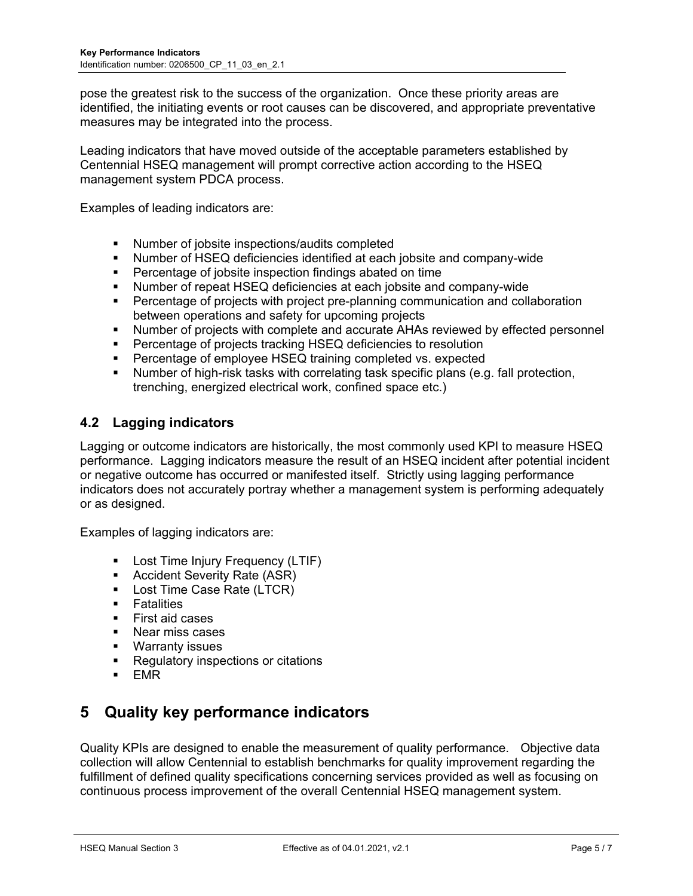pose the greatest risk to the success of the organization. Once these priority areas are identified, the initiating events or root causes can be discovered, and appropriate preventative measures may be integrated into the process.

Leading indicators that have moved outside of the acceptable parameters established by Centennial HSEQ management will prompt corrective action according to the HSEQ management system PDCA process.

Examples of leading indicators are:

- Number of jobsite inspections/audits completed
- Number of HSEQ deficiencies identified at each jobsite and company-wide
- **Percentage of jobsite inspection findings abated on time**
- Number of repeat HSEQ deficiencies at each jobsite and company-wide
- Percentage of projects with project pre-planning communication and collaboration between operations and safety for upcoming projects
- Number of projects with complete and accurate AHAs reviewed by effected personnel
- Percentage of projects tracking HSEQ deficiencies to resolution
- **Percentage of employee HSEQ training completed vs. expected**
- Number of high-risk tasks with correlating task specific plans (e.g. fall protection, trenching, energized electrical work, confined space etc.)

### **4.2 Lagging indicators**

Lagging or outcome indicators are historically, the most commonly used KPI to measure HSEQ performance. Lagging indicators measure the result of an HSEQ incident after potential incident or negative outcome has occurred or manifested itself. Strictly using lagging performance indicators does not accurately portray whether a management system is performing adequately or as designed.

Examples of lagging indicators are:

- **EXECTE:** Lost Time Injury Frequency (LTIF)
- **Accident Severity Rate (ASR)**
- Lost Time Case Rate (LTCR)
- **Fatalities**
- **First aid cases**
- **Near miss cases**
- **Warranty issues**
- **Regulatory inspections or citations**
- $EMR$

# **5 Quality key performance indicators**

Quality KPIs are designed to enable the measurement of quality performance.Objective data collection will allow Centennial to establish benchmarks for quality improvement regarding the fulfillment of defined quality specifications concerning services provided as well as focusing on continuous process improvement of the overall Centennial HSEQ management system.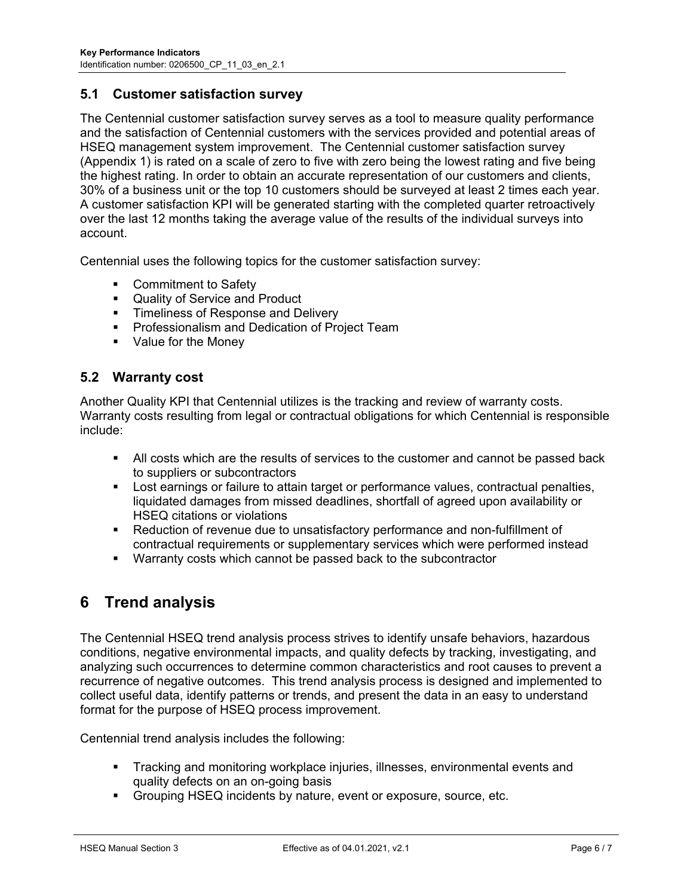#### **5.1 Customer satisfaction survey**

The Centennial customer satisfaction survey serves as a tool to measure quality performance and the satisfaction of Centennial customers with the services provided and potential areas of HSEQ management system improvement. The Centennial customer satisfaction survey (Appendix 1) is rated on a scale of zero to five with zero being the lowest rating and five being the highest rating. In order to obtain an accurate representation of our customers and clients, 30% of a business unit or the top 10 customers should be surveyed at least 2 times each year. A customer satisfaction KPI will be generated starting with the completed quarter retroactively over the last 12 months taking the average value of the results of the individual surveys into account.

Centennial uses the following topics for the customer satisfaction survey:

- Commitment to Safety
- **Quality of Service and Product**
- **Timeliness of Response and Delivery**
- **Professionalism and Dedication of Project Team**
- Value for the Money

#### **5.2 Warranty cost**

Another Quality KPI that Centennial utilizes is the tracking and review of warranty costs. Warranty costs resulting from legal or contractual obligations for which Centennial is responsible include:

- All costs which are the results of services to the customer and cannot be passed back to suppliers or subcontractors
- Lost earnings or failure to attain target or performance values, contractual penalties, liquidated damages from missed deadlines, shortfall of agreed upon availability or HSEQ citations or violations
- Reduction of revenue due to unsatisfactory performance and non-fulfillment of contractual requirements or supplementary services which were performed instead
- Warranty costs which cannot be passed back to the subcontractor

# **6 Trend analysis**

The Centennial HSEQ trend analysis process strives to identify unsafe behaviors, hazardous conditions, negative environmental impacts, and quality defects by tracking, investigating, and analyzing such occurrences to determine common characteristics and root causes to prevent a recurrence of negative outcomes. This trend analysis process is designed and implemented to collect useful data, identify patterns or trends, and present the data in an easy to understand format for the purpose of HSEQ process improvement.

Centennial trend analysis includes the following:

- Tracking and monitoring workplace injuries, illnesses, environmental events and quality defects on an on-going basis
- **F** Grouping HSEQ incidents by nature, event or exposure, source, etc.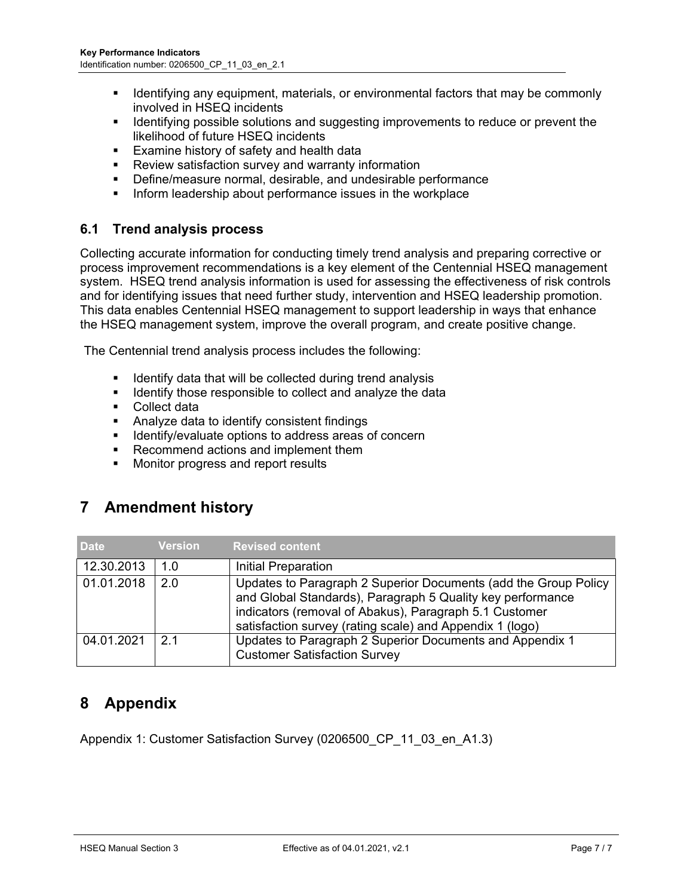- **If Identifying any equipment, materials, or environmental factors that may be commonly** involved in HSEQ incidents
- **IDENTIFY IDENTIFY IS SOLUT ASSET IS A SUBSE** Improvements to reduce or prevent the likelihood of future HSEQ incidents
- **Examine history of safety and health data**
- Review satisfaction survey and warranty information
- Define/measure normal, desirable, and undesirable performance
- **Inform leadership about performance issues in the workplace**

### **6.1 Trend analysis process**

Collecting accurate information for conducting timely trend analysis and preparing corrective or process improvement recommendations is a key element of the Centennial HSEQ management system. HSEQ trend analysis information is used for assessing the effectiveness of risk controls and for identifying issues that need further study, intervention and HSEQ leadership promotion. This data enables Centennial HSEQ management to support leadership in ways that enhance the HSEQ management system, improve the overall program, and create positive change.

The Centennial trend analysis process includes the following:

- $\blacksquare$  Identify data that will be collected during trend analysis
- **If** Identify those responsible to collect and analyze the data
- Collect data
- Analyze data to identify consistent findings
- **IDENTIFY** Identify/evaluate options to address areas of concern
- Recommend actions and implement them
- **Monitor progress and report results**

# **7 Amendment history**

| <b>Date</b> | <b>Version</b> | <b>Revised content</b>                                                                                                                                                                                                                              |
|-------------|----------------|-----------------------------------------------------------------------------------------------------------------------------------------------------------------------------------------------------------------------------------------------------|
| 12.30.2013  | 1.0            | Initial Preparation                                                                                                                                                                                                                                 |
| 01.01.2018  | 2.0            | Updates to Paragraph 2 Superior Documents (add the Group Policy<br>and Global Standards), Paragraph 5 Quality key performance<br>indicators (removal of Abakus), Paragraph 5.1 Customer<br>satisfaction survey (rating scale) and Appendix 1 (logo) |
| 04.01.2021  | 21             | Updates to Paragraph 2 Superior Documents and Appendix 1<br><b>Customer Satisfaction Survey</b>                                                                                                                                                     |

# **8 Appendix**

Appendix 1: Customer Satisfaction Survey (0206500 CP 11 03 en A1.3)